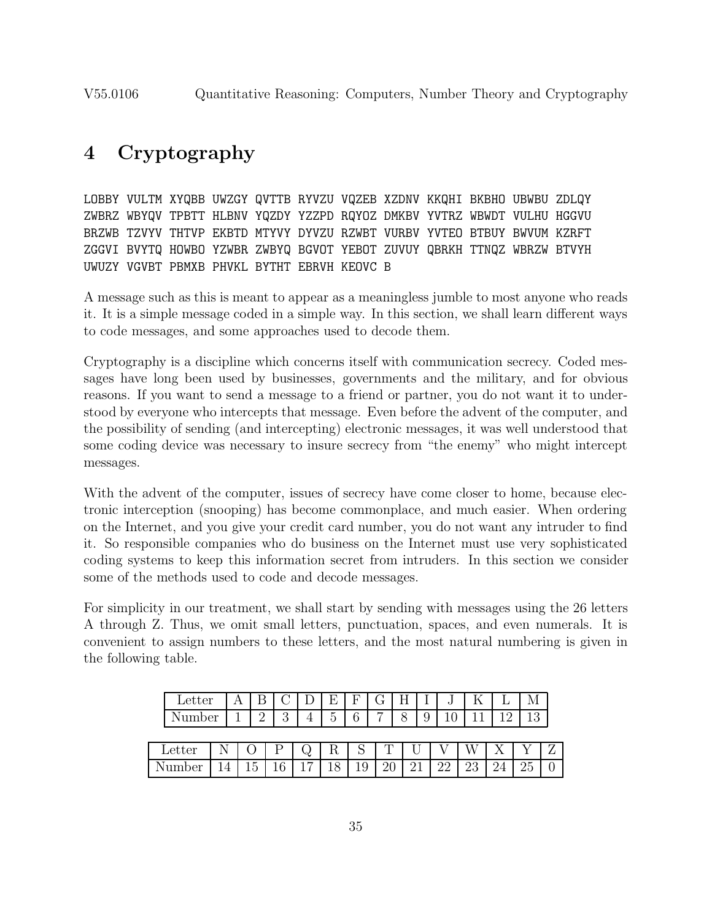# **4 Cryptography**

LOBBY VULTM XYQBB UWZGY QVTTB RYVZU VQZEB XZDNV KKQHI BKBHO UBWBU ZDLQY ZWBRZ WBYQV TPBTT HLBNV YQZDY YZZPD RQYOZ DMKBV YVTRZ WBWDT VULHU HGGVU BRZWB TZVYV THTVP EKBTD MTYVY DYVZU RZWBT VURBV YVTEO BTBUY BWVUM KZRFT ZGGVI BVYTQ HOWBO YZWBR ZWBYQ BGVOT YEBOT ZUVUY QBRKH TTNQZ WBRZW BTVYH UWUZY VGVBT PBMXB PHVKL BYTHT EBRVH KEOVC B

A message such as this is meant to appear as a meaningless jumble to most anyone who reads it. It is a simple message coded in a simple way. In this section, we shall learn different ways to code messages, and some approaches used to decode them.

Cryptography is a discipline which concerns itself with communication secrecy. Coded messages have long been used by businesses, governments and the military, and for obvious reasons. If you want to send a message to a friend or partner, you do not want it to understood by everyone who intercepts that message. Even before the advent of the computer, and the possibility of sending (and intercepting) electronic messages, it was well understood that some coding device was necessary to insure secrecy from "the enemy" who might intercept messages.

With the advent of the computer, issues of secrecy have come closer to home, because electronic interception (snooping) has become commonplace, and much easier. When ordering on the Internet, and you give your credit card number, you do not want any intruder to find it. So responsible companies who do business on the Internet must use very sophisticated coding systems to keep this information secret from intruders. In this section we consider some of the methods used to code and decode messages.

For simplicity in our treatment, we shall start by sending with messages using the 26 letters A through Z. Thus, we omit small letters, punctuation, spaces, and even numerals. It is convenient to assign numbers to these letters, and the most natural numbering is given in the following table.

|  | Letter |  |                |    |                | н.           | F  | G              | Н |                 | IJ       |    | M        |  |
|--|--------|--|----------------|----|----------------|--------------|----|----------------|---|-----------------|----------|----|----------|--|
|  | Number |  | $\Omega$       | റ  |                | ►            | 6  | $\overline{ }$ |   | $\Omega$<br>ر ہ |          |    | 19       |  |
|  |        |  |                |    |                |              |    |                |   |                 |          |    |          |  |
|  | Letter |  |                |    | Q,             | R            | N  |                |   |                 |          |    |          |  |
|  |        |  | ۳<br>l h<br>⊥∪ | 1C | 1 <sub>7</sub> | $^{\circ}$ 0 | ⊥ປ | 20             |   |                 | ററ<br>∠∠ | 23 | $\Omega$ |  |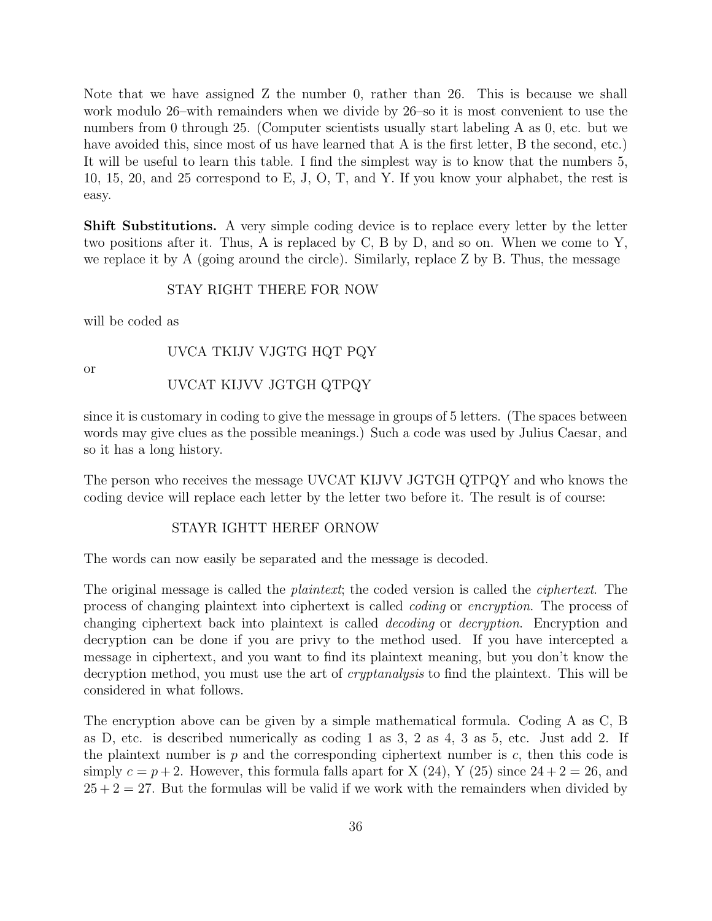Note that we have assigned Z the number 0, rather than 26. This is because we shall work modulo 26–with remainders when we divide by 26–so it is most convenient to use the numbers from 0 through 25. (Computer scientists usually start labeling A as 0, etc. but we have avoided this, since most of us have learned that A is the first letter, B the second, etc.) It will be useful to learn this table. I find the simplest way is to know that the numbers 5, 10, 15, 20, and 25 correspond to E, J, O, T, and Y. If you know your alphabet, the rest is easy.

**Shift Substitutions.** A very simple coding device is to replace every letter by the letter two positions after it. Thus, A is replaced by C, B by D, and so on. When we come to Y, we replace it by A (going around the circle). Similarly, replace Z by B. Thus, the message

# STAY RIGHT THERE FOR NOW

will be coded as

# UVCA TKIJV VJGTG HQT PQY

or

# UVCAT KIJVV JGTGH QTPQY

since it is customary in coding to give the message in groups of 5 letters. (The spaces between words may give clues as the possible meanings.) Such a code was used by Julius Caesar, and so it has a long history.

The person who receives the message UVCAT KIJVV JGTGH QTPQY and who knows the coding device will replace each letter by the letter two before it. The result is of course:

#### STAYR IGHTT HEREF ORNOW

The words can now easily be separated and the message is decoded.

The original message is called the *plaintext*; the coded version is called the *ciphertext*. The process of changing plaintext into ciphertext is called coding or encryption. The process of changing ciphertext back into plaintext is called decoding or decryption. Encryption and decryption can be done if you are privy to the method used. If you have intercepted a message in ciphertext, and you want to find its plaintext meaning, but you don't know the decryption method, you must use the art of *cryptanalysis* to find the plaintext. This will be considered in what follows.

The encryption above can be given by a simple mathematical formula. Coding A as C, B as D, etc. is described numerically as coding 1 as 3, 2 as 4, 3 as 5, etc. Just add 2. If the plaintext number is  $p$  and the corresponding ciphertext number is  $c$ , then this code is simply  $c = p + 2$ . However, this formula falls apart for X (24), Y (25) since  $24 + 2 = 26$ , and  $25 + 2 = 27$ . But the formulas will be valid if we work with the remainders when divided by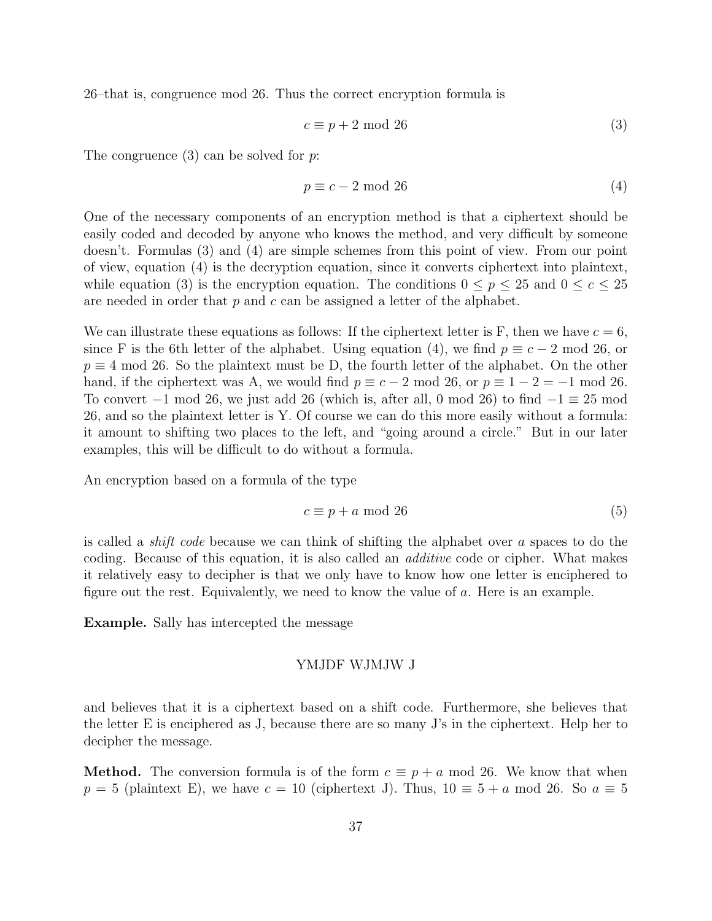26–that is, congruence mod 26. Thus the correct encryption formula is

$$
c \equiv p + 2 \mod 26 \tag{3}
$$

The congruence  $(3)$  can be solved for p.

$$
p \equiv c - 2 \mod 26 \tag{4}
$$

One of the necessary components of an encryption method is that a ciphertext should be easily coded and decoded by anyone who knows the method, and very difficult by someone doesn't. Formulas (3) and (4) are simple schemes from this point of view. From our point of view, equation (4) is the decryption equation, since it converts ciphertext into plaintext, while equation (3) is the encryption equation. The conditions  $0 \le p \le 25$  and  $0 \le c \le 25$ are needed in order that  $p$  and  $c$  can be assigned a letter of the alphabet.

We can illustrate these equations as follows: If the ciphertext letter is F, then we have  $c = 6$ , since F is the 6th letter of the alphabet. Using equation (4), we find  $p \equiv c - 2 \mod 26$ , or  $p \equiv 4 \mod 26$ . So the plaintext must be D, the fourth letter of the alphabet. On the other hand, if the ciphertext was A, we would find  $p \equiv c - 2 \mod 26$ , or  $p \equiv 1 - 2 = -1 \mod 26$ . To convert  $-1$  mod 26, we just add 26 (which is, after all, 0 mod 26) to find  $-1 \equiv 25$  mod 26, and so the plaintext letter is Y. Of course we can do this more easily without a formula: it amount to shifting two places to the left, and "going around a circle." But in our later examples, this will be difficult to do without a formula.

An encryption based on a formula of the type

$$
c \equiv p + a \mod 26 \tag{5}
$$

is called a shift code because we can think of shifting the alphabet over a spaces to do the coding. Because of this equation, it is also called an additive code or cipher. What makes it relatively easy to decipher is that we only have to know how one letter is enciphered to figure out the rest. Equivalently, we need to know the value of a. Here is an example.

**Example.** Sally has intercepted the message

#### YMJDF WJMJW J

and believes that it is a ciphertext based on a shift code. Furthermore, she believes that the letter E is enciphered as J, because there are so many J's in the ciphertext. Help her to decipher the message.

**Method.** The conversion formula is of the form  $c \equiv p + a \mod 26$ . We know that when  $p = 5$  (plaintext E), we have  $c = 10$  (ciphertext J). Thus,  $10 \equiv 5 + a \mod 26$ . So  $a \equiv 5$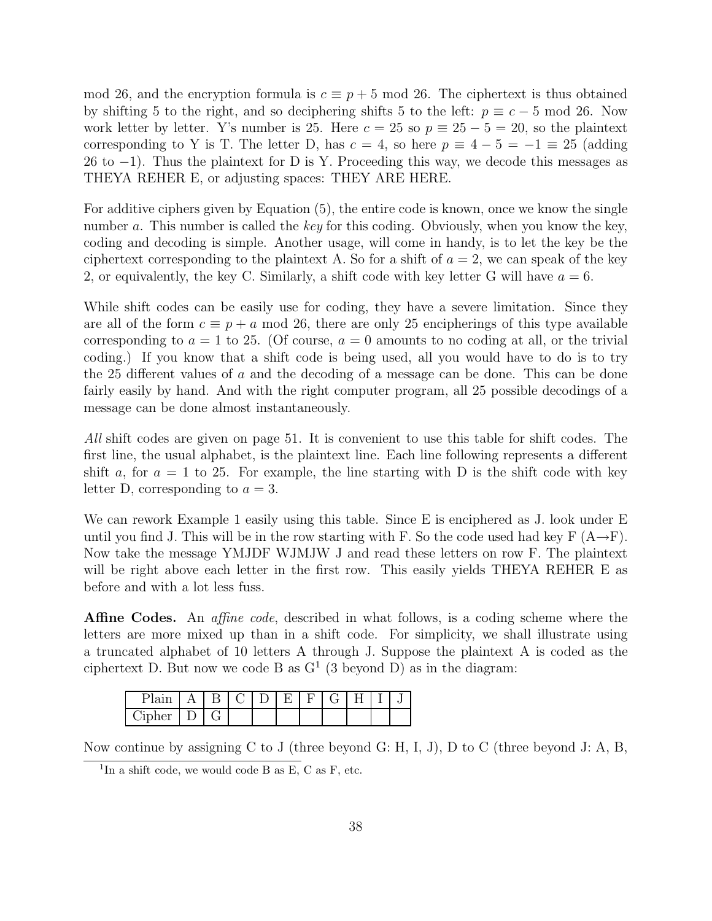mod 26, and the encryption formula is  $c \equiv p + 5 \mod 26$ . The ciphertext is thus obtained by shifting 5 to the right, and so deciphering shifts 5 to the left:  $p \equiv c - 5 \mod 26$ . Now work letter by letter. Y's number is 25. Here  $c = 25$  so  $p \equiv 25 - 5 = 20$ , so the plaintext corresponding to Y is T. The letter D, has  $c = 4$ , so here  $p \equiv 4 - 5 = -1 \equiv 25$  (adding 26 to  $-1$ ). Thus the plaintext for D is Y. Proceeding this way, we decode this messages as THEYA REHER E, or adjusting spaces: THEY ARE HERE.

For additive ciphers given by Equation (5), the entire code is known, once we know the single number a. This number is called the key for this coding. Obviously, when you know the key, coding and decoding is simple. Another usage, will come in handy, is to let the key be the ciphertext corresponding to the plaintext A. So for a shift of  $a = 2$ , we can speak of the key 2, or equivalently, the key C. Similarly, a shift code with key letter G will have  $a = 6$ .

While shift codes can be easily use for coding, they have a severe limitation. Since they are all of the form  $c \equiv p + a \mod 26$ , there are only 25 encipherings of this type available corresponding to  $a = 1$  to 25. (Of course,  $a = 0$  amounts to no coding at all, or the trivial coding.) If you know that a shift code is being used, all you would have to do is to try the 25 different values of a and the decoding of a message can be done. This can be done fairly easily by hand. And with the right computer program, all 25 possible decodings of a message can be done almost instantaneously.

All shift codes are given on page 51. It is convenient to use this table for shift codes. The first line, the usual alphabet, is the plaintext line. Each line following represents a different shift a, for  $a = 1$  to 25. For example, the line starting with D is the shift code with key letter D, corresponding to  $a = 3$ .

We can rework Example 1 easily using this table. Since E is enciphered as J. look under E until you find J. This will be in the row starting with F. So the code used had key F  $(A\rightarrow F)$ . Now take the message YMJDF WJMJW J and read these letters on row F. The plaintext will be right above each letter in the first row. This easily yields THEYA REHER E as before and with a lot less fuss.

**Affine Codes.** An *affine code*, described in what follows, is a coding scheme where the letters are more mixed up than in a shift code. For simplicity, we shall illustrate using a truncated alphabet of 10 letters A through J. Suppose the plaintext A is coded as the ciphertext D. But now we code B as  $G<sup>1</sup>$  (3 beyond D) as in the diagram:

|                            |   |  |  | ◡ |  |  |
|----------------------------|---|--|--|---|--|--|
| 'ınt<br><b>TTAT</b><br>◡▴◡ | - |  |  |   |  |  |

Now continue by assigning C to J (three beyond G: H, I, J), D to C (three beyond J: A, B,

<sup>&</sup>lt;sup>1</sup>In a shift code, we would code B as E, C as F, etc.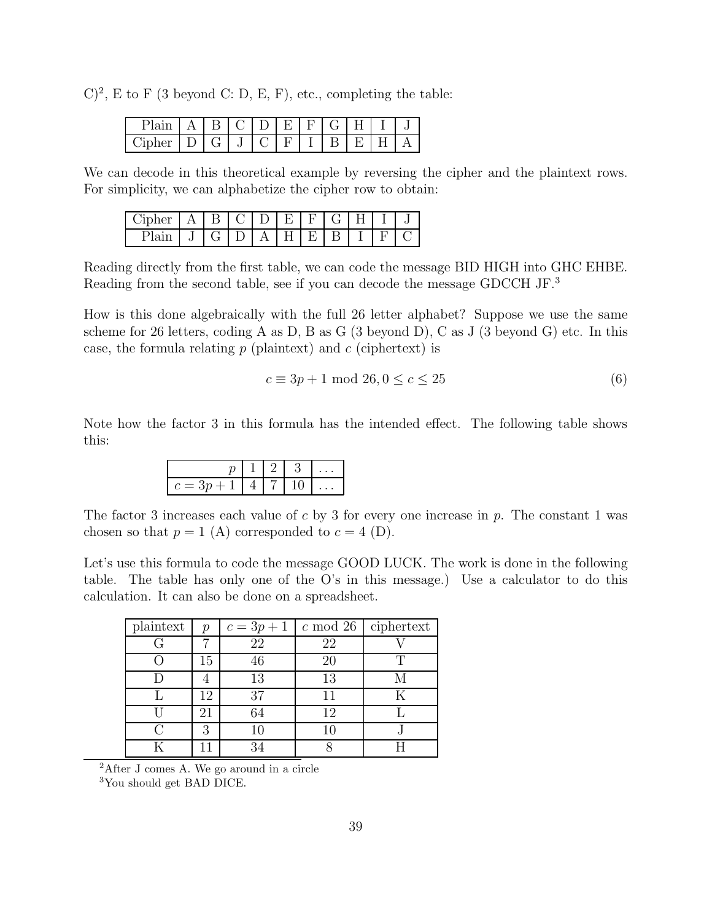$(C)^2$ , E to F (3 beyond C: D, E, F), etc., completing the table:

|                     |                        |  | $E_{\rm c}$ $\pm$ | H 1 | $\left( \frac{1}{2} \right)$ |  |  |
|---------------------|------------------------|--|-------------------|-----|------------------------------|--|--|
| Cinher <sup>.</sup> | $1) 1$ ( $\frac{1}{2}$ |  |                   |     |                              |  |  |

We can decode in this theoretical example by reversing the cipher and the plaintext rows. For simplicity, we can alphabetize the cipher row to obtain:

| Cipher | IB. | $\mathbf{I}$ | - H) 1 |    | $\left( \frac{1}{2} \right)$ |  |  |
|--------|-----|--------------|--------|----|------------------------------|--|--|
| - 197  |     | (711)        | $H$ 1  | F. |                              |  |  |

Reading directly from the first table, we can code the message BID HIGH into GHC EHBE. Reading from the second table, see if you can decode the message GDCCH JF.<sup>3</sup>

How is this done algebraically with the full 26 letter alphabet? Suppose we use the same scheme for 26 letters, coding A as D, B as G (3 beyond D), C as J (3 beyond G) etc. In this case, the formula relating  $p$  (plaintext) and  $c$  (ciphertext) is

$$
c \equiv 3p + 1 \mod 26, 0 \le c \le 25 \tag{6}
$$

Note how the factor 3 in this formula has the intended effect. The following table shows this:

The factor 3 increases each value of c by 3 for every one increase in p. The constant 1 was chosen so that  $p = 1$  (A) corresponded to  $c = 4$  (D).

Let's use this formula to code the message GOOD LUCK. The work is done in the following table. The table has only one of the O's in this message.) Use a calculator to do this calculation. It can also be done on a spreadsheet.

| plaintext | $\mathcal{p}$ | $c = 3p + 1$ |    | $\overline{c \mod 26}$ ciphertext |
|-----------|---------------|--------------|----|-----------------------------------|
|           |               | 22           | 22 |                                   |
|           | 15            | 46           | 20 |                                   |
|           |               | 13           | 13 |                                   |
|           | 12            | 37           | 11 |                                   |
|           | 21            | 54           | 12 |                                   |
|           | 3             | 10           |    |                                   |
|           |               |              |    |                                   |

<sup>2</sup>After J comes A. We go around in a circle

<sup>3</sup>You should get BAD DICE.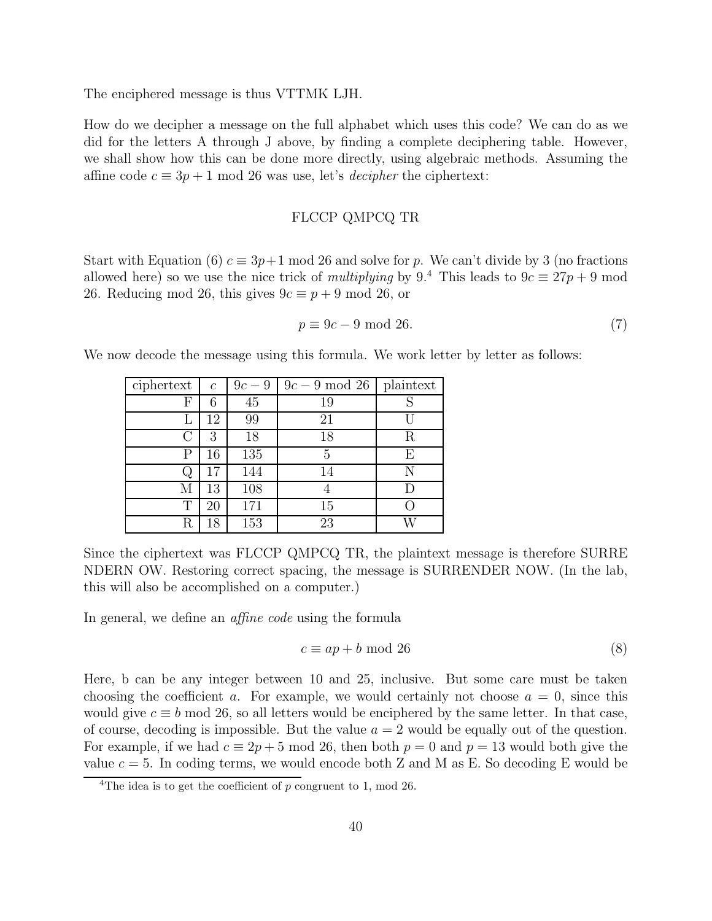The enciphered message is thus VTTMK LJH.

How do we decipher a message on the full alphabet which uses this code? We can do as we did for the letters A through J above, by finding a complete deciphering table. However, we shall show how this can be done more directly, using algebraic methods. Assuming the affine code  $c \equiv 3p + 1 \mod 26$  was use, let's *decipher* the ciphertext:

# FLCCP QMPCQ TR

Start with Equation (6)  $c \equiv 3p+1 \mod 26$  and solve for p. We can't divide by 3 (no fractions allowed here) so we use the nice trick of multiplying by  $9<sup>4</sup>$ . This leads to  $9c \equiv 27p + 9$  mod 26. Reducing mod 26, this gives  $9c \equiv p + 9 \mod 26$ , or

$$
p \equiv 9c - 9 \mod 26. \tag{7}
$$

We now decode the message using this formula. We work letter by letter as follows:

| ciphertext | $\mathfrak c$ | $9c-9$ | $9c-9 \mod 26$ | plaintext |
|------------|---------------|--------|----------------|-----------|
| F          | 6             | 45     | 19             |           |
| L          | 12            | 99     | 21             |           |
| C          | 3             | 18     | 18             | R         |
| Ρ          | 16            | 135    | 5              | F,        |
| Q.         | 17            | 144    | 14             |           |
| М          | 13            | 108    |                |           |
| Т          | 20            | 171    | 15             |           |
| R          | 18            | 153    | 23             |           |

Since the ciphertext was FLCCP QMPCQ TR, the plaintext message is therefore SURRE NDERN OW. Restoring correct spacing, the message is SURRENDER NOW. (In the lab, this will also be accomplished on a computer.)

In general, we define an *affine code* using the formula

$$
c \equiv ap + b \mod 26 \tag{8}
$$

Here, b can be any integer between 10 and 25, inclusive. But some care must be taken choosing the coefficient a. For example, we would certainly not choose  $a = 0$ , since this would give  $c \equiv b \mod 26$ , so all letters would be enciphered by the same letter. In that case, of course, decoding is impossible. But the value  $a = 2$  would be equally out of the question. For example, if we had  $c \equiv 2p + 5 \mod 26$ , then both  $p = 0$  and  $p = 13$  would both give the value  $c = 5$ . In coding terms, we would encode both Z and M as E. So decoding E would be

<sup>&</sup>lt;sup>4</sup>The idea is to get the coefficient of  $p$  congruent to 1, mod 26.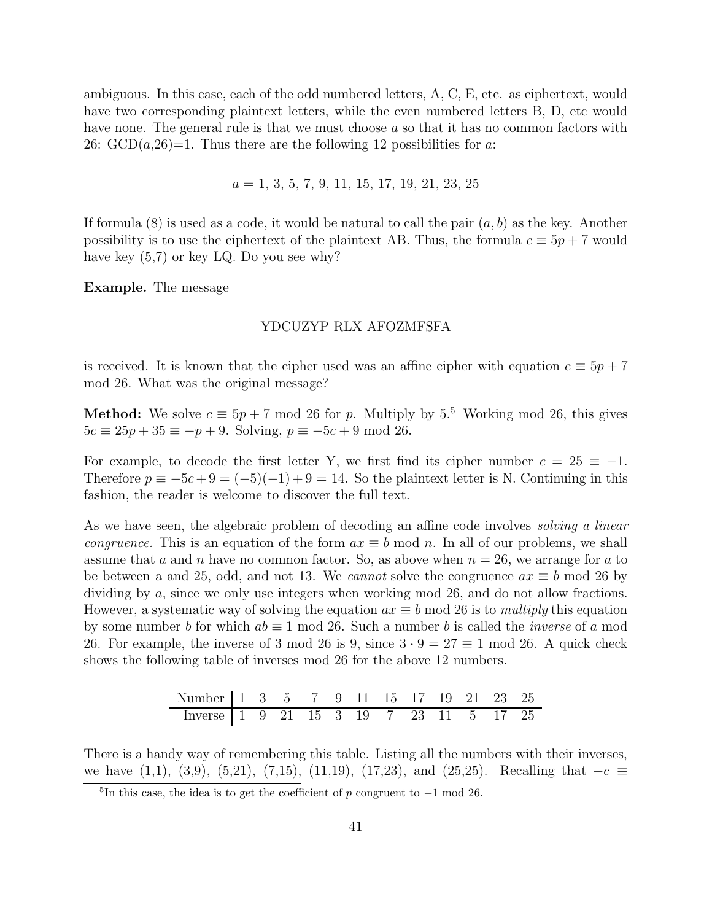ambiguous. In this case, each of the odd numbered letters, A, C, E, etc. as ciphertext, would have two corresponding plaintext letters, while the even numbered letters B, D, etc would have none. The general rule is that we must choose a so that it has no common factors with 26:  $GCD(a, 26)=1$ . Thus there are the following 12 possibilities for a:

$$
a = 1, 3, 5, 7, 9, 11, 15, 17, 19, 21, 23, 25
$$

If formula  $(8)$  is used as a code, it would be natural to call the pair  $(a, b)$  as the key. Another possibility is to use the ciphertext of the plaintext AB. Thus, the formula  $c \equiv 5p + 7$  would have key  $(5,7)$  or key LQ. Do you see why?

**Example.** The message

# YDCUZYP RLX AFOZMFSFA

is received. It is known that the cipher used was an affine cipher with equation  $c \equiv 5p + 7$ mod 26. What was the original message?

**Method:** We solve  $c \equiv 5p + 7 \mod 26$  for p. Multiply by 5.<sup>5</sup> Working mod 26, this gives  $5c \equiv 25p + 35 \equiv -p + 9$ . Solving,  $p \equiv -5c + 9 \mod 26$ .

For example, to decode the first letter Y, we first find its cipher number  $c = 25 \equiv -1$ . Therefore  $p \equiv -5c + 9 = (-5)(-1) + 9 = 14$ . So the plaintext letter is N. Continuing in this fashion, the reader is welcome to discover the full text.

As we have seen, the algebraic problem of decoding an affine code involves *solving a linear congruence*. This is an equation of the form  $ax \equiv b \mod n$ . In all of our problems, we shall assume that a and n have no common factor. So, as above when  $n = 26$ , we arrange for a to be between a and 25, odd, and not 13. We *cannot* solve the congruence  $ax \equiv b \mod 26$  by dividing by a, since we only use integers when working mod 26, and do not allow fractions. However, a systematic way of solving the equation  $ax \equiv b \mod 26$  is to *multiply* this equation by some number b for which  $ab \equiv 1 \mod 26$ . Such a number b is called the *inverse* of a mod 26. For example, the inverse of 3 mod 26 is 9, since  $3 \cdot 9 = 27 \equiv 1 \text{ mod } 26$ . A quick check shows the following table of inverses mod 26 for the above 12 numbers.

| Number 1 3 5 7 9 11 15 17 19 21 23 25                                                                       |  |  |  |  |  |  |
|-------------------------------------------------------------------------------------------------------------|--|--|--|--|--|--|
| $\boxed{\text{Inverse} \begin{bmatrix} 1 & 9 & 21 & 15 & 3 & 19 & 7 & 23 & 11 & 5 & 17 & 25 \end{bmatrix}}$ |  |  |  |  |  |  |

There is a handy way of remembering this table. Listing all the numbers with their inverses, we have  $(1,1)$ ,  $(3,9)$ ,  $(5,21)$ ,  $(7,15)$ ,  $(11,19)$ ,  $(17,23)$ , and  $(25,25)$ . Recalling that  $−c ≡$ 

<sup>&</sup>lt;sup>5</sup>In this case, the idea is to get the coefficient of p congruent to  $-1$  mod 26.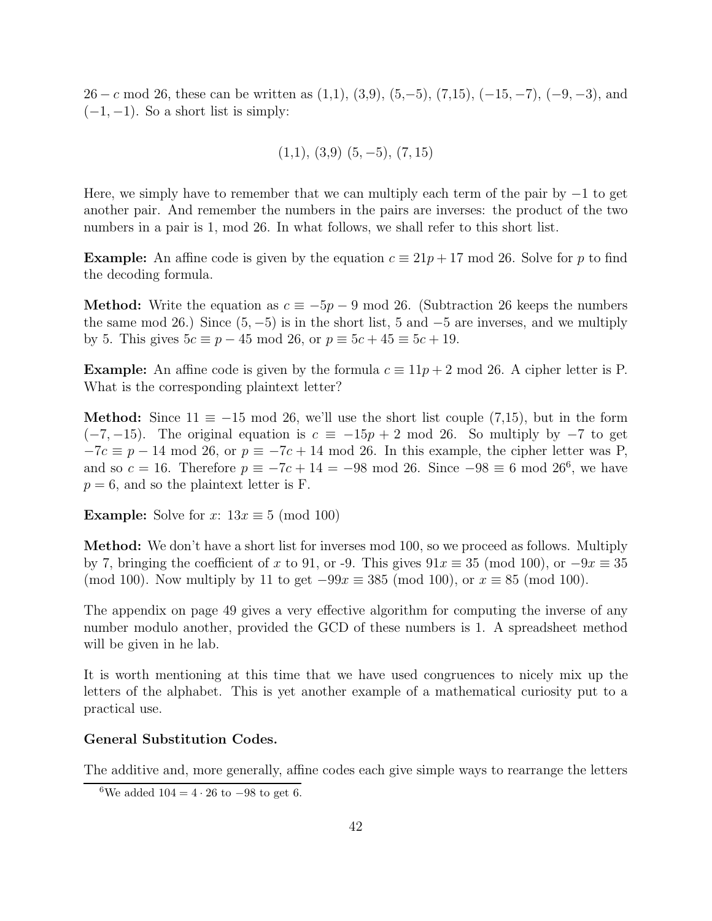26 − c mod 26, these can be written as  $(1,1)$ ,  $(3,9)$ ,  $(5,-5)$ ,  $(7,15)$ ,  $(-15,-7)$ ,  $(-9,-3)$ , and  $(-1, -1)$ . So a short list is simply:

$$
(1,1), (3,9) (5,-5), (7,15)
$$

Here, we simply have to remember that we can multiply each term of the pair by  $-1$  to get another pair. And remember the numbers in the pairs are inverses: the product of the two numbers in a pair is 1, mod 26. In what follows, we shall refer to this short list.

**Example:** An affine code is given by the equation  $c \equiv 21p + 17 \mod 26$ . Solve for p to find the decoding formula.

**Method:** Write the equation as  $c \equiv -5p - 9 \mod 26$ . (Subtraction 26 keeps the numbers the same mod 26.) Since  $(5, -5)$  is in the short list, 5 and  $-5$  are inverses, and we multiply by 5. This gives  $5c \equiv p - 45 \mod 26$ , or  $p \equiv 5c + 45 \equiv 5c + 19$ .

**Example:** An affine code is given by the formula  $c \equiv 11p + 2 \mod 26$ . A cipher letter is P. What is the corresponding plaintext letter?

**Method:** Since  $11 \equiv -15 \mod 26$ , we'll use the short list couple (7,15), but in the form  $(-7, -15)$ . The original equation is  $c \equiv -15p + 2 \mod 26$ . So multiply by  $-7$  to get  $-7c \equiv p - 14 \mod 26$ , or  $p \equiv -7c + 14 \mod 26$ . In this example, the cipher letter was P, and so  $c = 16$ . Therefore  $p \equiv -7c + 14 = -98 \mod 26$ . Since  $-98 \equiv 6 \mod 26^6$ , we have  $p = 6$ , and so the plaintext letter is F.

**Example:** Solve for x:  $13x \equiv 5 \pmod{100}$ 

**Method:** We don't have a short list for inverses mod 100, so we proceed as follows. Multiply by 7, bringing the coefficient of x to 91, or -9. This gives  $91x \equiv 35 \pmod{100}$ , or  $-9x \equiv 35$ (mod 100). Now multiply by 11 to get  $-99x \equiv 385 \pmod{100}$ , or  $x \equiv 85 \pmod{100}$ .

The appendix on page 49 gives a very effective algorithm for computing the inverse of any number modulo another, provided the GCD of these numbers is 1. A spreadsheet method will be given in he lab.

It is worth mentioning at this time that we have used congruences to nicely mix up the letters of the alphabet. This is yet another example of a mathematical curiosity put to a practical use.

#### **General Substitution Codes.**

The additive and, more generally, affine codes each give simple ways to rearrange the letters

<sup>&</sup>lt;sup>6</sup>We added  $104 = 4 \cdot 26$  to  $-98$  to get 6.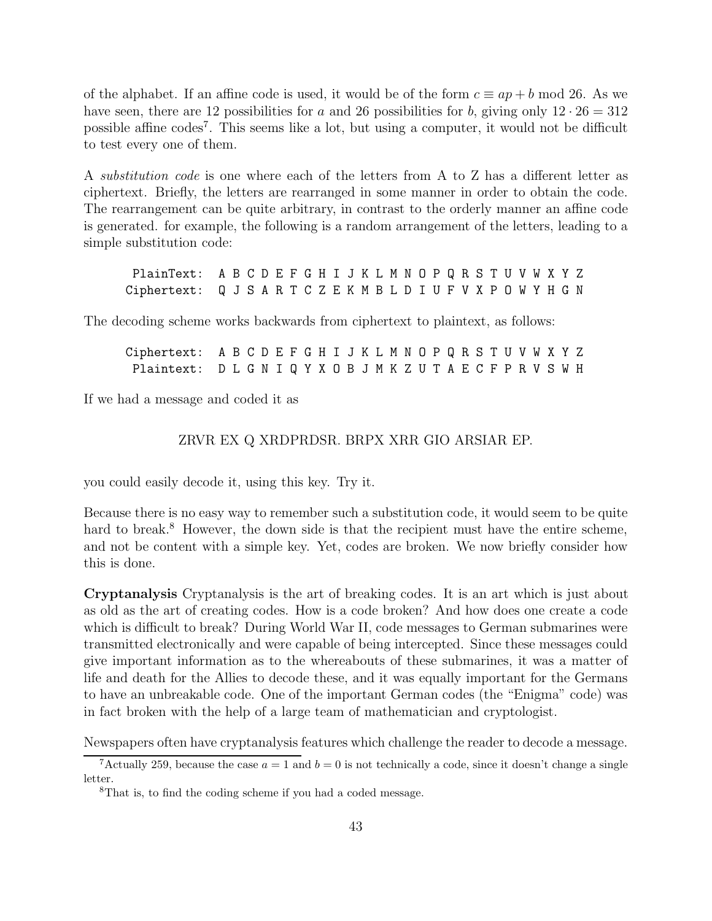of the alphabet. If an affine code is used, it would be of the form  $c \equiv ap + b \mod 26$ . As we have seen, there are 12 possibilities for a and 26 possibilities for b, giving only  $12 \cdot 26 = 312$ possible affine  $\c{codes}^7$ . This seems like a lot, but using a computer, it would not be difficult to test every one of them.

A substitution code is one where each of the letters from A to Z has a different letter as ciphertext. Briefly, the letters are rearranged in some manner in order to obtain the code. The rearrangement can be quite arbitrary, in contrast to the orderly manner an affine code is generated. for example, the following is a random arrangement of the letters, leading to a simple substitution code:

PlainText: A B C D E F G H I J K L M N O P Q R S T U V W X Y Z Ciphertext: Q J S A R T C Z E K M B L D I U F V X P O W Y H G N

The decoding scheme works backwards from ciphertext to plaintext, as follows:

| Ciphertext: A B C D E F G H I J K L M N O P Q R S T U V W X Y Z |  |  |  |  |  |  |  |  |  |  |  |  |  |
|-----------------------------------------------------------------|--|--|--|--|--|--|--|--|--|--|--|--|--|
| Plaintext: DLGNIQYXOBJMKZUTAECFPRVSWH                           |  |  |  |  |  |  |  |  |  |  |  |  |  |

If we had a message and coded it as

# ZRVR EX Q XRDPRDSR. BRPX XRR GIO ARSIAR EP.

you could easily decode it, using this key. Try it.

Because there is no easy way to remember such a substitution code, it would seem to be quite hard to break.<sup>8</sup> However, the down side is that the recipient must have the entire scheme, and not be content with a simple key. Yet, codes are broken. We now briefly consider how this is done.

**Cryptanalysis** Cryptanalysis is the art of breaking codes. It is an art which is just about as old as the art of creating codes. How is a code broken? And how does one create a code which is difficult to break? During World War II, code messages to German submarines were transmitted electronically and were capable of being intercepted. Since these messages could give important information as to the whereabouts of these submarines, it was a matter of life and death for the Allies to decode these, and it was equally important for the Germans to have an unbreakable code. One of the important German codes (the "Enigma" code) was in fact broken with the help of a large team of mathematician and cryptologist.

Newspapers often have cryptanalysis features which challenge the reader to decode a message.

<sup>&</sup>lt;sup>7</sup>Actually 259, because the case  $a = 1$  and  $b = 0$  is not technically a code, since it doesn't change a single letter.

<sup>8</sup>That is, to find the coding scheme if you had a coded message.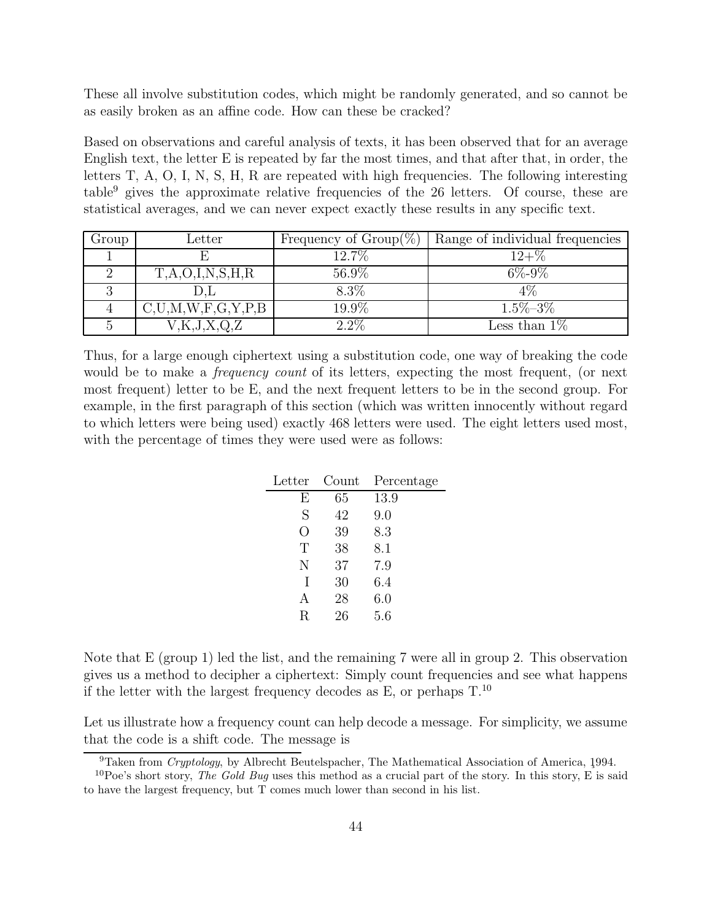These all involve substitution codes, which might be randomly generated, and so cannot be as easily broken as an affine code. How can these be cracked?

Based on observations and careful analysis of texts, it has been observed that for an average English text, the letter E is repeated by far the most times, and that after that, in order, the letters T, A, O, I, N, S, H, R are repeated with high frequencies. The following interesting table<sup>9</sup> gives the approximate relative frequencies of the 26 letters. Of course, these are statistical averages, and we can never expect exactly these results in any specific text.

| Group | $_{\text{Letter}}$        | Frequency of $Group(\%)$ | Range of individual frequencies |
|-------|---------------------------|--------------------------|---------------------------------|
|       |                           | 12.7%                    | $12 + \%$                       |
|       | T,A,O,I,N,S,H,R           | 56.9%                    | $6\% - 9\%$                     |
|       | D.L                       | $8.3\%$                  | 4%                              |
|       | C, U, M, W, F, G, Y, P, B | 19.9%                    | $1.5\% - 3\%$                   |
|       | K, J, X, Q, Z             | $2.2\%$                  | Less than $1\%$                 |

Thus, for a large enough ciphertext using a substitution code, one way of breaking the code would be to make a *frequency count* of its letters, expecting the most frequent, (or next most frequent) letter to be E, and the next frequent letters to be in the second group. For example, in the first paragraph of this section (which was written innocently without regard to which letters were being used) exactly 468 letters were used. The eight letters used most, with the percentage of times they were used were as follows:

| Letter | Count | Percentage |
|--------|-------|------------|
| Е      | 65    | 13.9       |
| S      | 42    | 9.0        |
| ( )    | 39    | 8.3        |
| T      | 38    | 8.1        |
| N      | 37    | 7.9        |
| T      | 30    | 6.4        |
| A      | 28    | 6.0        |
| R      | 26    | 5.6        |

Note that E (group 1) led the list, and the remaining 7 were all in group 2. This observation gives us a method to decipher a ciphertext: Simply count frequencies and see what happens if the letter with the largest frequency decodes as E, or perhaps  $T^{10}$ .

Let us illustrate how a frequency count can help decode a message. For simplicity, we assume that the code is a shift code. The message is

 $9$ Taken from *Cryptology*, by Albrecht Beutelspacher, The Mathematical Association of America, 1994.

<sup>10</sup>Poe's short story, *The Gold Bug* uses this method as a crucial part of the story. In this story, E is said to have the largest frequency, but T comes much lower than second in his list.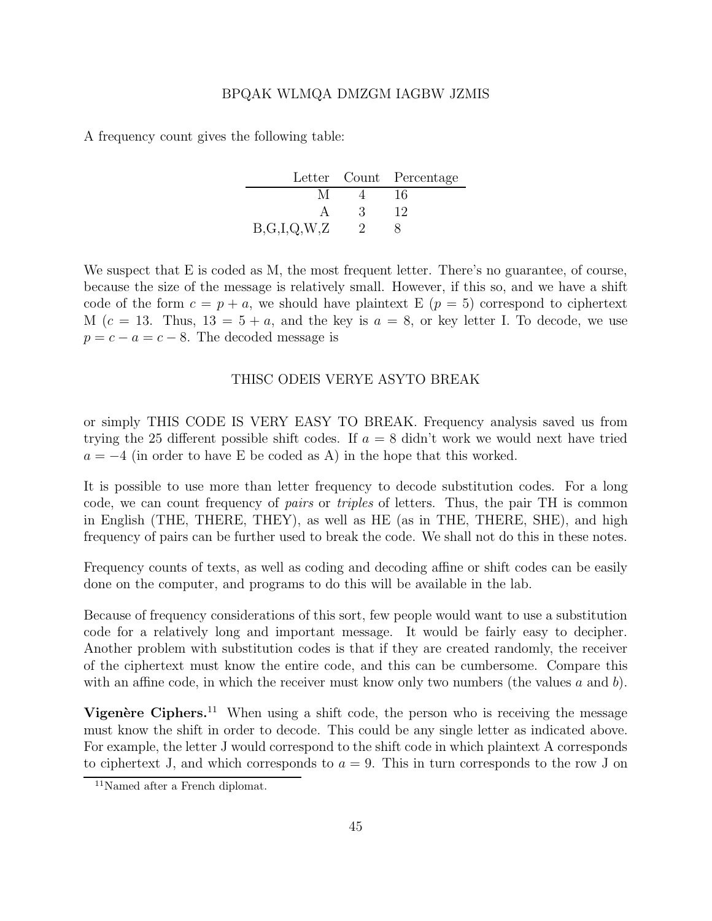#### BPQAK WLMQA DMZGM IAGBW JZMIS

A frequency count gives the following table:

|             |   | Letter Count Percentage |
|-------------|---|-------------------------|
| М           |   | 16                      |
|             | 3 | 12                      |
| B,G,I,Q,W,Z |   |                         |

We suspect that E is coded as M, the most frequent letter. There's no guarantee, of course, because the size of the message is relatively small. However, if this so, and we have a shift code of the form  $c = p + a$ , we should have plaintext E  $(p = 5)$  correspond to ciphertext M  $(c = 13.$  Thus,  $13 = 5 + a$ , and the key is  $a = 8$ , or key letter I. To decode, we use  $p = c - a = c - 8$ . The decoded message is

# THISC ODEIS VERYE ASYTO BREAK

or simply THIS CODE IS VERY EASY TO BREAK. Frequency analysis saved us from trying the 25 different possible shift codes. If  $a = 8$  didn't work we would next have tried  $a = -4$  (in order to have E be coded as A) in the hope that this worked.

It is possible to use more than letter frequency to decode substitution codes. For a long code, we can count frequency of pairs or triples of letters. Thus, the pair TH is common in English (THE, THERE, THEY), as well as HE (as in THE, THERE, SHE), and high frequency of pairs can be further used to break the code. We shall not do this in these notes.

Frequency counts of texts, as well as coding and decoding affine or shift codes can be easily done on the computer, and programs to do this will be available in the lab.

Because of frequency considerations of this sort, few people would want to use a substitution code for a relatively long and important message. It would be fairly easy to decipher. Another problem with substitution codes is that if they are created randomly, the receiver of the ciphertext must know the entire code, and this can be cumbersome. Compare this with an affine code, in which the receiver must know only two numbers (the values  $a$  and  $b$ ).

**Vigenère Ciphers.**<sup>11</sup> When using a shift code, the person who is receiving the message must know the shift in order to decode. This could be any single letter as indicated above. For example, the letter J would correspond to the shift code in which plaintext A corresponds to ciphertext J, and which corresponds to  $a = 9$ . This in turn corresponds to the row J on

<sup>11</sup>Named after a French diplomat.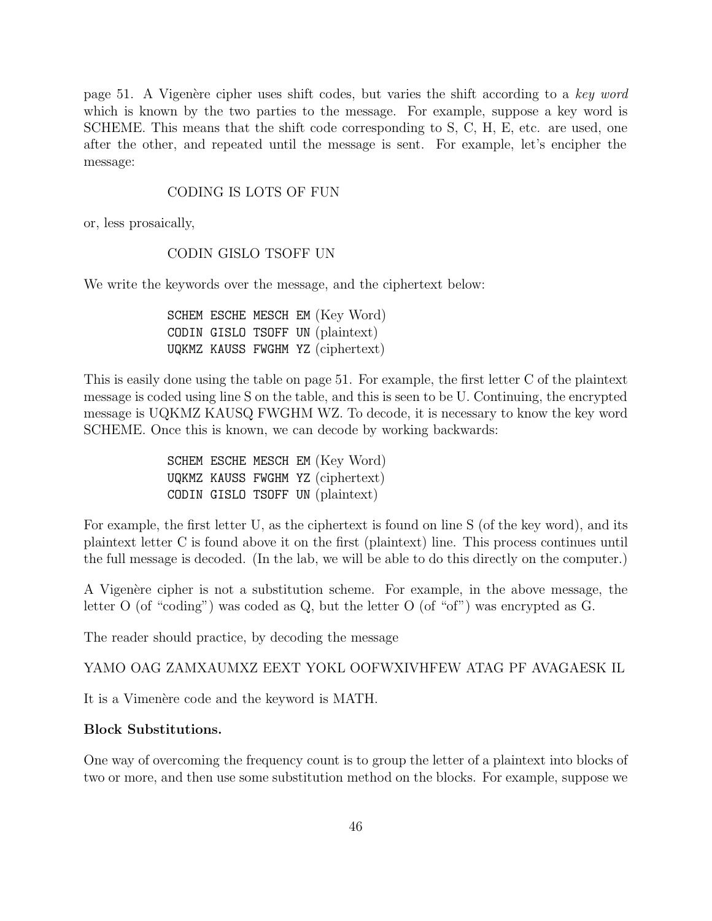page 51. A Vigenère cipher uses shift codes, but varies the shift according to a key word which is known by the two parties to the message. For example, suppose a key word is SCHEME. This means that the shift code corresponding to S, C, H, E, etc. are used, one after the other, and repeated until the message is sent. For example, let's encipher the message:

## CODING IS LOTS OF FUN

or, less prosaically,

# CODIN GISLO TSOFF UN

We write the keywords over the message, and the ciphertext below:

SCHEM ESCHE MESCH EM (Key Word) CODIN GISLO TSOFF UN (plaintext) UQKMZ KAUSS FWGHM YZ (ciphertext)

This is easily done using the table on page 51. For example, the first letter C of the plaintext message is coded using line S on the table, and this is seen to be U. Continuing, the encrypted message is UQKMZ KAUSQ FWGHM WZ. To decode, it is necessary to know the key word SCHEME. Once this is known, we can decode by working backwards:

> SCHEM ESCHE MESCH EM (Key Word) UQKMZ KAUSS FWGHM YZ (ciphertext) CODIN GISLO TSOFF UN (plaintext)

For example, the first letter U, as the ciphertext is found on line S (of the key word), and its plaintext letter C is found above it on the first (plaintext) line. This process continues until the full message is decoded. (In the lab, we will be able to do this directly on the computer.)

A Vigenère cipher is not a substitution scheme. For example, in the above message, the letter O (of "coding") was coded as Q, but the letter O (of "of") was encrypted as G.

The reader should practice, by decoding the message

YAMO OAG ZAMXAUMXZ EEXT YOKL OOFWXIVHFEW ATAG PF AVAGAESK IL

It is a Vimenère code and the keyword is MATH.

## **Block Substitutions.**

One way of overcoming the frequency count is to group the letter of a plaintext into blocks of two or more, and then use some substitution method on the blocks. For example, suppose we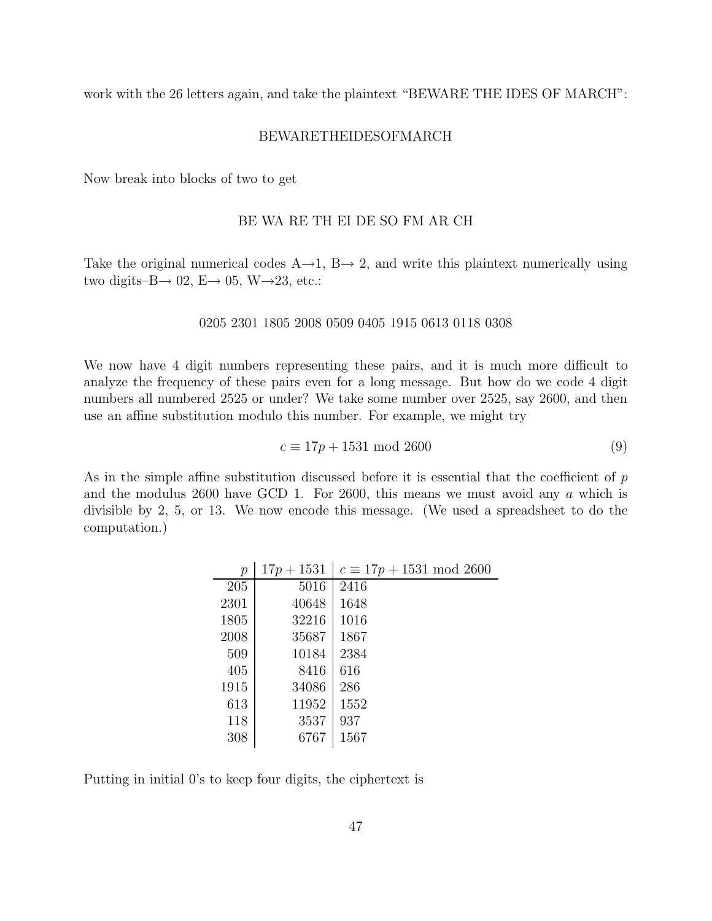work with the 26 letters again, and take the plaintext "BEWARE THE IDES OF MARCH":

## BEWARETHEIDESOFMARCH

Now break into blocks of two to get

## BE WA RE TH EI DE SO FM AR CH

Take the original numerical codes  $A\rightarrow 1$ ,  $B\rightarrow 2$ , and write this plaintext numerically using two digits– $B \rightarrow 02$ ,  $E \rightarrow 05$ , W $\rightarrow 23$ , etc.:

#### 0205 2301 1805 2008 0509 0405 1915 0613 0118 0308

We now have 4 digit numbers representing these pairs, and it is much more difficult to analyze the frequency of these pairs even for a long message. But how do we code 4 digit numbers all numbered 2525 or under? We take some number over 2525, say 2600, and then use an affine substitution modulo this number. For example, we might try

$$
c \equiv 17p + 1531 \text{ mod } 2600 \tag{9}
$$

As in the simple affine substitution discussed before it is essential that the coefficient of  $p$ and the modulus 2600 have GCD 1. For 2600, this means we must avoid any a which is divisible by 2, 5, or 13. We now encode this message. (We used a spreadsheet to do the computation.)

| $\,p$ | $17p + 1531$ | $c \equiv 17p + 1531 \mod 2600$ |
|-------|--------------|---------------------------------|
| 205   | 5016         | 2416                            |
| 2301  | 40648        | 1648                            |
| 1805  | 32216        | 1016                            |
| 2008  | 35687        | 1867                            |
| 509   | 10184        | 2384                            |
| 405   | 8416         | 616                             |
| 1915  | 34086        | 286                             |
| 613   | 11952        | 1552                            |
| 118   | 3537         | 937                             |
| 308   | 6767         | 1567                            |

Putting in initial 0's to keep four digits, the ciphertext is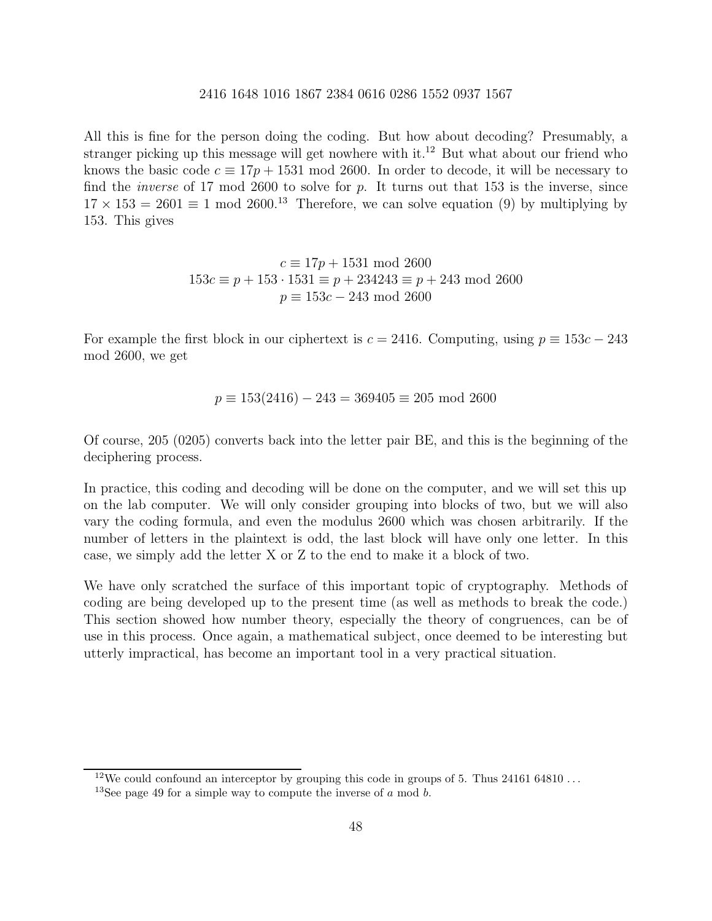All this is fine for the person doing the coding. But how about decoding? Presumably, a stranger picking up this message will get nowhere with it.<sup>12</sup> But what about our friend who knows the basic code  $c \equiv 17p + 1531 \mod 2600$ . In order to decode, it will be necessary to find the *inverse* of 17 mod 2600 to solve for p. It turns out that 153 is the inverse, since  $17 \times 153 = 2601 \equiv 1 \mod 2600^{13}$  Therefore, we can solve equation (9) by multiplying by 153. This gives

$$
c \equiv 17p + 1531 \mod 2600
$$
  
153 $c \equiv p + 153 \cdot 1531 \equiv p + 234243 \equiv p + 243 \mod 2600$   
 $p \equiv 153c - 243 \mod 2600$ 

For example the first block in our ciphertext is  $c = 2416$ . Computing, using  $p \equiv 153c - 243$ mod 2600, we get

$$
p \equiv 153(2416) - 243 = 369405 \equiv 205 \text{ mod } 2600
$$

Of course, 205 (0205) converts back into the letter pair BE, and this is the beginning of the deciphering process.

In practice, this coding and decoding will be done on the computer, and we will set this up on the lab computer. We will only consider grouping into blocks of two, but we will also vary the coding formula, and even the modulus 2600 which was chosen arbitrarily. If the number of letters in the plaintext is odd, the last block will have only one letter. In this case, we simply add the letter X or Z to the end to make it a block of two.

We have only scratched the surface of this important topic of cryptography. Methods of coding are being developed up to the present time (as well as methods to break the code.) This section showed how number theory, especially the theory of congruences, can be of use in this process. Once again, a mathematical subject, once deemed to be interesting but utterly impractical, has become an important tool in a very practical situation.

<sup>&</sup>lt;sup>12</sup>We could confound an interceptor by grouping this code in groups of 5. Thus  $24161\,64810...$ 

<sup>&</sup>lt;sup>13</sup>See page 49 for a simple way to compute the inverse of  $a \mod b$ .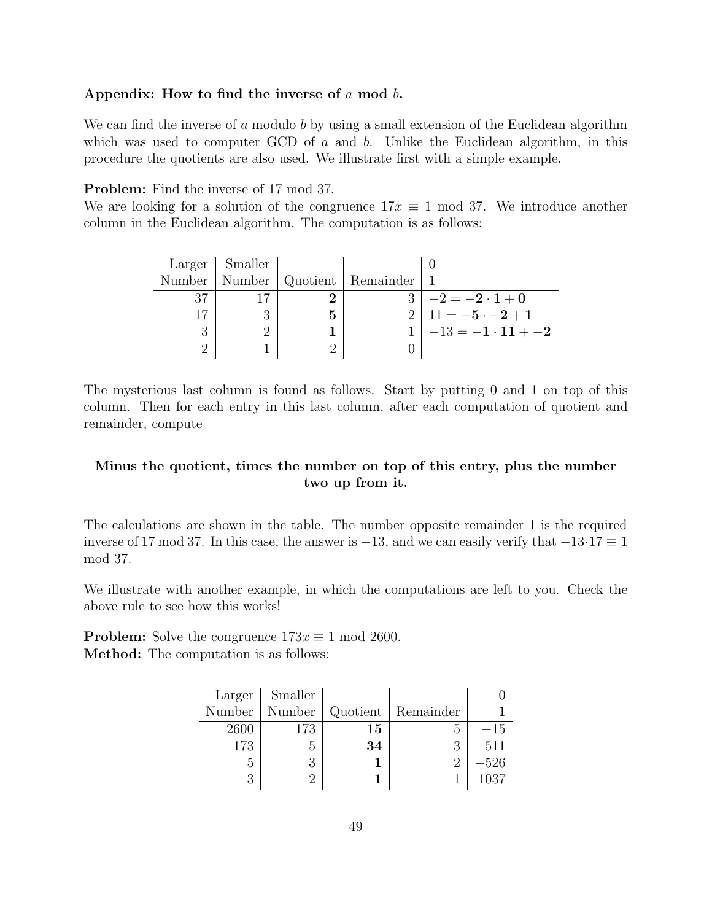## **Appendix: How to find the inverse of** a **mod** b**.**

We can find the inverse of a modulo b by using a small extension of the Euclidean algorithm which was used to computer GCD of a and b. Unlike the Euclidean algorithm, in this procedure the quotients are also used. We illustrate first with a simple example.

**Problem:** Find the inverse of 17 mod 37.

We are looking for a solution of the congruence  $17x \equiv 1 \mod 37$ . We introduce another column in the Euclidean algorithm. The computation is as follows:

| Large <sub>r</sub> | Smaller |   |                      |                                 |
|--------------------|---------|---|----------------------|---------------------------------|
| Number             | Number  |   | Quotient   Remainder |                                 |
| 37                 |         |   |                      | $-2 = -2 \cdot 1 + 0$           |
|                    |         | 5 |                      | 2   11 = $-5 \cdot -2 + 1$      |
|                    |         |   |                      | $1 \mid -13 = -1 \cdot 11 + -2$ |
|                    |         |   |                      |                                 |

The mysterious last column is found as follows. Start by putting 0 and 1 on top of this column. Then for each entry in this last column, after each computation of quotient and remainder, compute

# **Minus the quotient, times the number on top of this entry, plus the number two up from it.**

The calculations are shown in the table. The number opposite remainder 1 is the required inverse of 17 mod 37. In this case, the answer is  $-13$ , and we can easily verify that  $-13.17 \equiv 1$ mod 37.

We illustrate with another example, in which the computations are left to you. Check the above rule to see how this works!

**Problem:** Solve the congruence  $173x \equiv 1 \text{ mod } 2600$ . **Method:** The computation is as follows:

|        | Larger Smaller |        |                      |        |
|--------|----------------|--------|----------------------|--------|
| Number | Number         |        | Quotient   Remainder |        |
| 2600   | 173            | $15\,$ | h,                   | $-15$  |
| 173    | .,             | 34     |                      | 511    |
| h,     |                |        |                      | $-526$ |
|        |                |        |                      | 1037   |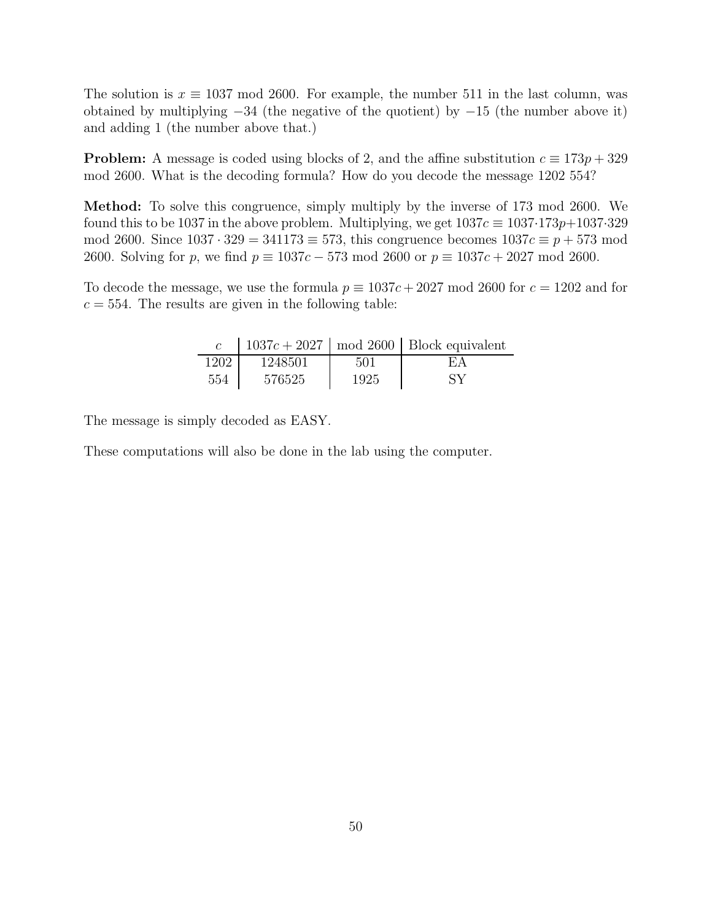The solution is  $x \equiv 1037 \mod 2600$ . For example, the number 511 in the last column, was obtained by multiplying  $-34$  (the negative of the quotient) by  $-15$  (the number above it) and adding 1 (the number above that.)

**Problem:** A message is coded using blocks of 2, and the affine substitution  $c \equiv 173p + 329$ mod 2600. What is the decoding formula? How do you decode the message 1202 554?

**Method:** To solve this congruence, simply multiply by the inverse of 173 mod 2600. We found this to be 1037 in the above problem. Multiplying, we get  $1037c \equiv 1037.173p+1037.329$ mod 2600. Since  $1037 \cdot 329 = 341173 \equiv 573$ , this congruence becomes  $1037c \equiv p + 573 \mod p$ 2600. Solving for p, we find  $p \equiv 1037c - 573 \mod 2600$  or  $p \equiv 1037c + 2027 \mod 2600$ .

To decode the message, we use the formula  $p \equiv 1037c + 2027 \mod 2600$  for  $c = 1202$  and for  $c = 554$ . The results are given in the following table:

|      |         |      | 1037 $c + 2027$   mod 2600   Block equivalent |
|------|---------|------|-----------------------------------------------|
| 1202 | 1248501 | 501  | F.A                                           |
| 554  | 576525  | 1925 | SV                                            |

The message is simply decoded as EASY.

These computations will also be done in the lab using the computer.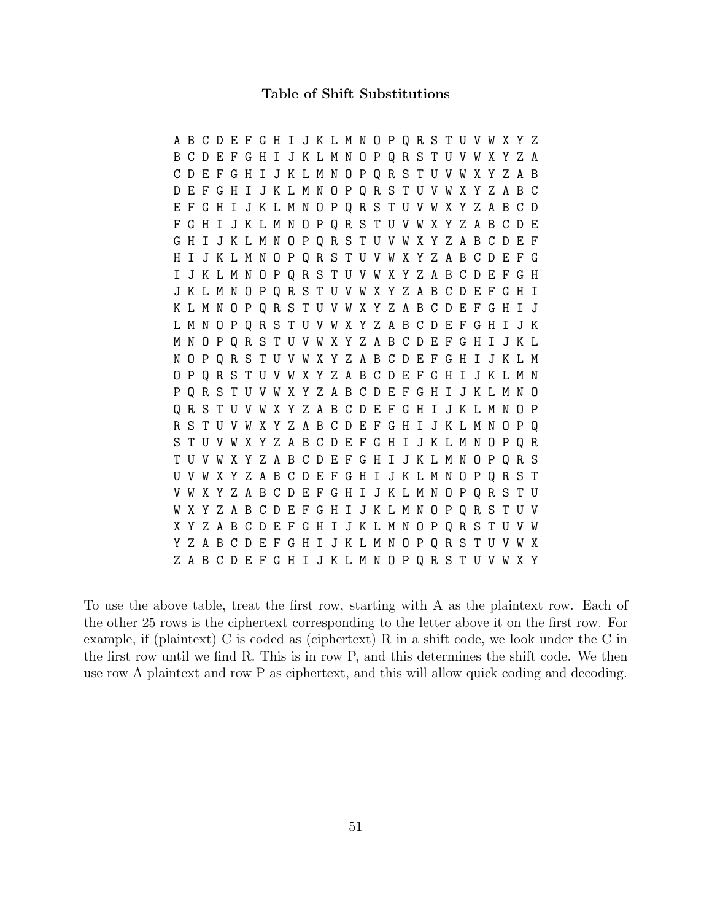#### **Table of Shift Substitutions**

ABCDEFGHIJKLMNOPQRSTUVWXYZ BCDEFGHIJKLMNOPQRSTUVWXYZA CDEFGHIJKLMNOPQRSTUVWXYZAB DEFGHIJKLMNOPQRSTUVWXYZABC EFGHIJKLMNOPQRSTUVWXYZABCD FGHIJKLMNOPQRSTUVWXYZABCDE GHIJKLMNOPQRSTUVWXYZABCDEF HIJKLMNOPQRSTUVWXYZABCDEFG IJKLMNOPQRSTUVWXYZABCDEFGH JKLMNOPQRSTUVWXYZABCDEFGHI KLMNOPQRSTUVWXYZABCDEFGHIJ LMNOPQRSTUVWXYZABCDEFGHIJK MNOPQRSTUVWXYZABCDEFGHIJKL NOPQRSTUVWXYZABCDEFGHIJKLM OPQRSTUVWXYZABCDEFGHIJKLMN PQRSTUVWXYZABCDEFGHIJKLMNO QRSTUVWXYZABCDEFGHIJKLMNOP RSTUVWXYZABCDEFGHIJKLMNOPQ STUVWXYZABCDEFGHIJKLMNOPQR TUVWXYZABCDEFGHIJKLMNOPQRS UVWXYZABCDEFGHIJKLMNOPQRST VWXYZABCDEFGHIJKLMNOPQRSTU WXYZABCDEFGHIJKLMNOPQRSTUV XYZABCDEFGHIJKLMNOPQRSTUVW YZABCDEFGHIJKLMNOPQRSTUVWX ZABCDEFGHIJKLMNOPQRSTUVWXY

To use the above table, treat the first row, starting with A as the plaintext row. Each of the other 25 rows is the ciphertext corresponding to the letter above it on the first row. For example, if (plaintext) C is coded as (ciphertext) R in a shift code, we look under the C in the first row until we find R. This is in row P, and this determines the shift code. We then use row A plaintext and row P as ciphertext, and this will allow quick coding and decoding.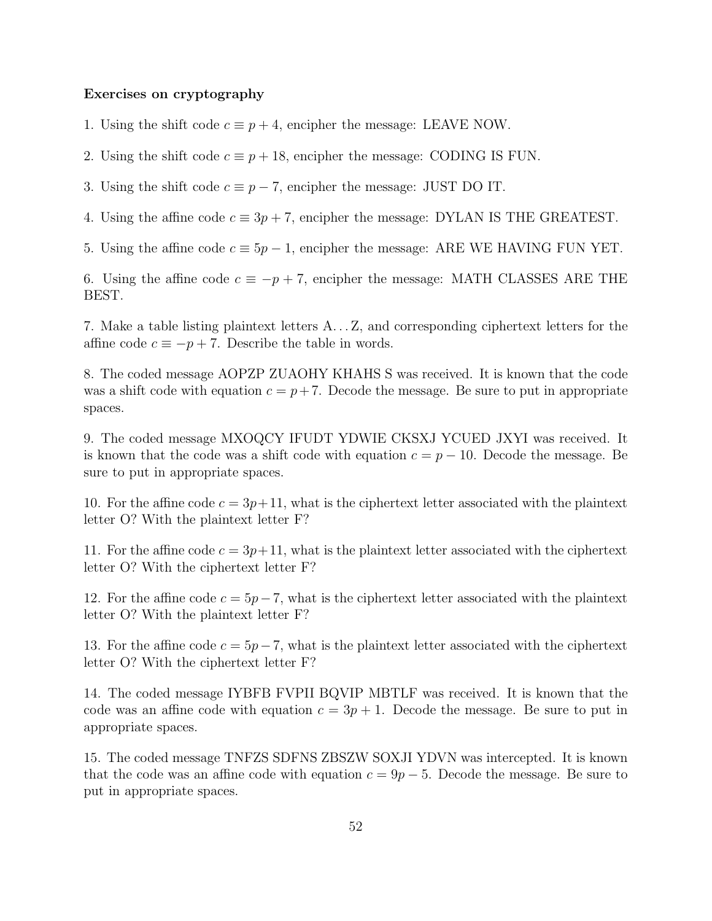## **Exercises on cryptography**

- 1. Using the shift code  $c \equiv p+4$ , encipher the message: LEAVE NOW.
- 2. Using the shift code  $c \equiv p + 18$ , encipher the message: CODING IS FUN.
- 3. Using the shift code  $c \equiv p 7$ , encipher the message: JUST DO IT.
- 4. Using the affine code  $c \equiv 3p + 7$ , encipher the message: DYLAN IS THE GREATEST.
- 5. Using the affine code  $c \equiv 5p 1$ , encipher the message: ARE WE HAVING FUN YET.

6. Using the affine code  $c \equiv -p + 7$ , encipher the message: MATH CLASSES ARE THE BEST.

7. Make a table listing plaintext letters A. . . Z, and corresponding ciphertext letters for the affine code  $c \equiv -p + 7$ . Describe the table in words.

8. The coded message AOPZP ZUAOHY KHAHS S was received. It is known that the code was a shift code with equation  $c = p + 7$ . Decode the message. Be sure to put in appropriate spaces.

9. The coded message MXOQCY IFUDT YDWIE CKSXJ YCUED JXYI was received. It is known that the code was a shift code with equation  $c = p - 10$ . Decode the message. Be sure to put in appropriate spaces.

10. For the affine code  $c = 3p+11$ , what is the ciphertext letter associated with the plaintext letter O? With the plaintext letter F?

11. For the affine code  $c = 3p+11$ , what is the plaintext letter associated with the ciphertext letter O? With the ciphertext letter F?

12. For the affine code  $c = 5p-7$ , what is the ciphertext letter associated with the plaintext letter O? With the plaintext letter F?

13. For the affine code  $c = 5p-7$ , what is the plaintext letter associated with the ciphertext letter O? With the ciphertext letter F?

14. The coded message IYBFB FVPII BQVIP MBTLF was received. It is known that the code was an affine code with equation  $c = 3p + 1$ . Decode the message. Be sure to put in appropriate spaces.

15. The coded message TNFZS SDFNS ZBSZW SOXJI YDVN was intercepted. It is known that the code was an affine code with equation  $c = 9p - 5$ . Decode the message. Be sure to put in appropriate spaces.